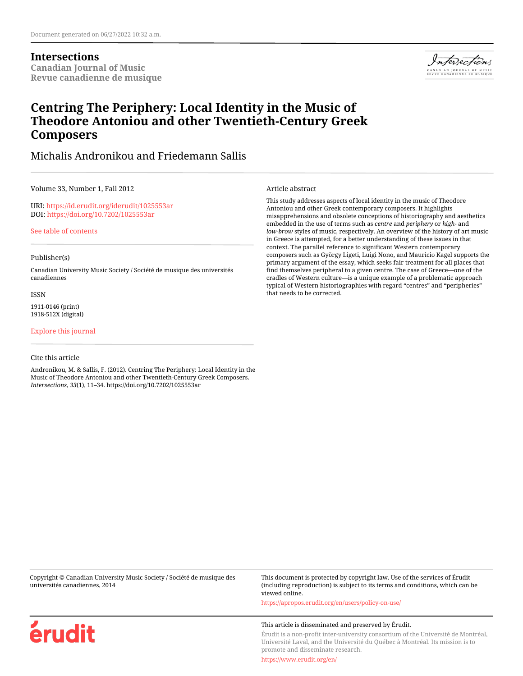**Intersections Canadian Journal of Music Revue canadienne de musique**



# **Centring The Periphery: Local Identity in the Music of Theodore Antoniou and other Twentieth-Century Greek Composers**

## Michalis Andronikou and Friedemann Sallis

Volume 33, Number 1, Fall 2012

URI:<https://id.erudit.org/iderudit/1025553ar> DOI:<https://doi.org/10.7202/1025553ar>

[See table of contents](https://www.erudit.org/en/journals/is/2012-v33-n1-is01446/)

#### Publisher(s)

Canadian University Music Society / Société de musique des universités canadiennes

**ISSN** 

1911-0146 (print) 1918-512X (digital)

[Explore this journal](https://www.erudit.org/en/journals/is/)

#### Cite this article

érudit

Andronikou, M. & Sallis, F. (2012). Centring The Periphery: Local Identity in the Music of Theodore Antoniou and other Twentieth-Century Greek Composers. *Intersections*, *33*(1), 11–34. https://doi.org/10.7202/1025553ar

Article abstract

This study addresses aspects of local identity in the music of Theodore Antoniou and other Greek contemporary composers. It highlights misapprehensions and obsolete conceptions of historiography and aesthetics embedded in the use of terms such as *centre* and *periphery* or *high-* and *low-brow* styles of music, respectively. An overview of the history of art music in Greece is attempted, for a better understanding of these issues in that context. The parallel reference to significant Western contemporary composers such as György Ligeti, Luigi Nono, and Mauricio Kagel supports the primary argument of the essay, which seeks fair treatment for all places that find themselves peripheral to a given centre. The case of Greece—one of the cradles of Western culture—is a unique example of a problematic approach typical of Western historiographies with regard "centres" and "peripheries" that needs to be corrected.

Copyright © Canadian University Music Society / Société de musique des universités canadiennes, 2014

This document is protected by copyright law. Use of the services of Érudit (including reproduction) is subject to its terms and conditions, which can be viewed online.

<https://apropos.erudit.org/en/users/policy-on-use/>

#### This article is disseminated and preserved by Érudit.

Érudit is a non-profit inter-university consortium of the Université de Montréal, Université Laval, and the Université du Québec à Montréal. Its mission is to promote and disseminate research.

<https://www.erudit.org/en/>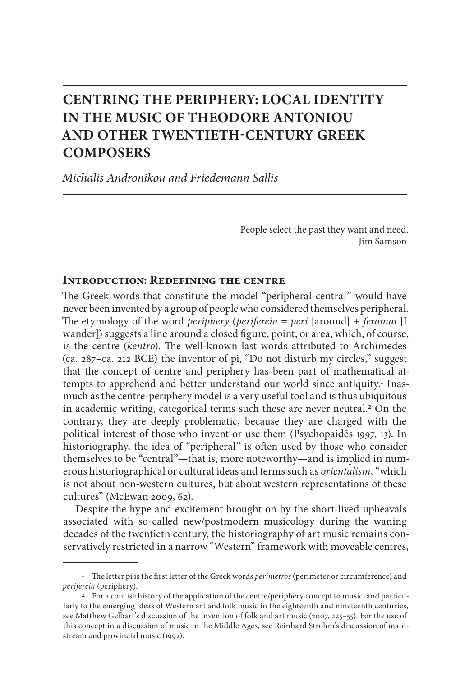# **CENTRING THE PERIPHERY: LOCAL IDENTITY IN THE MUSIC OF THEODORE ANTONIOU AND OTHER TWENTIETH-CENTURY GREEK COMPOSERS**

*Michalis Andronikou and Friedemann Sallis*

People select the past they want and need. —Jim Samson

## **Introduction: Redefining the centre**

The Greek words that constitute the model "peripheral-central" would have never been invented by a group of people who considered themselves peripheral. The etymology of the word *periphery* (*perifereia* = *peri* [around] + *feromai* [I wander]) suggests a line around a closed figure, point, or area, which, of course, is the centre (*kentro*). The well-known last words attributed to Archimēdēs (ca. 287–ca. 212 BCE) the inventor of pi, "Do not disturb my circles," suggest that the concept of centre and periphery has been part of mathematical attempts to apprehend and better understand our world since antiquity.<sup>1</sup> Inasmuch as the centre-periphery model is a very useful tool and is thus ubiquitous in academic writing, categorical terms such these are never neutral.<sup>2</sup> On the contrary, they are deeply problematic, because they are charged with the political interest of those who invent or use them (Psychopaidēs 1997, 13). In historiography, the idea of "peripheral" is often used by those who consider themselves to be "central"—that is, more noteworthy—and is implied in numerous historiographical or cultural ideas and terms such as *orientalism,* "which is not about non-western cultures, but about western representations of these cultures" (McEwan 2009, 62).

Despite the hype and excitement brought on by the short-lived upheavals associated with so-called new/postmodern musicology during the waning decades of the twentieth century, the historiography of art music remains conservatively restricted in a narrow "Western" framework with moveable centres,

<sup>1</sup> The letter pi is the first letter of the Greek words *perimetros* (perimeter or circumference) and *perifereia* (periphery).

<sup>&</sup>lt;sup>2</sup> For a concise history of the application of the centre/periphery concept to music, and particularly to the emerging ideas of Western art and folk music in the eighteenth and nineteenth centuries, see Matthew Gelbart's discussion of the invention of folk and art music (2007, 225–55). For the use of this concept in a discussion of music in the Middle Ages, see Reinhard Strohm's discussion of mainstream and provincial music (1992).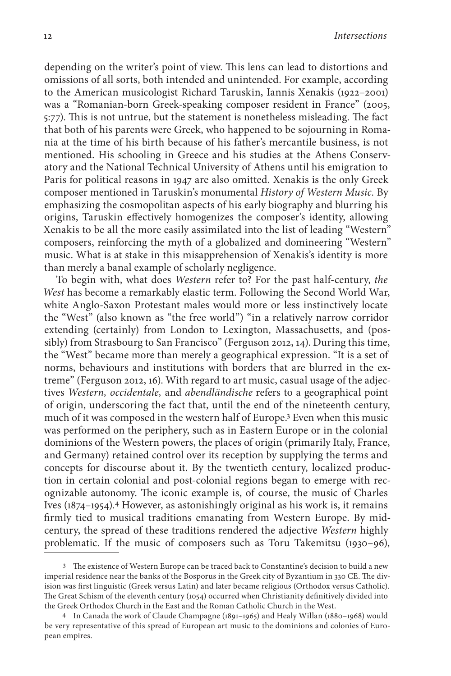depending on the writer's point of view. This lens can lead to distortions and omissions of all sorts, both intended and unintended. For example, according to the American musicologist Richard Taruskin, Iannis Xenakis (1922–2001) was a "Romanian-born Greek-speaking composer resident in France" (2005, 5:77). This is not untrue, but the statement is nonetheless misleading. The fact that both of his parents were Greek, who happened to be sojourning in Romania at the time of his birth because of his father's mercantile business, is not mentioned. His schooling in Greece and his studies at the Athens Conservatory and the National Technical University of Athens until his emigration to Paris for political reasons in 1947 are also omitted. Xenakis is the only Greek composer mentioned in Taruskin's monumental *History of Western Music.* By emphasizing the cosmopolitan aspects of his early biography and blurring his origins, Taruskin effectively homogenizes the composer's identity, allowing Xenakis to be all the more easily assimilated into the list of leading "Western" composers, reinforcing the myth of a globalized and domineering "Western" music. What is at stake in this misapprehension of Xenakis's identity is more than merely a banal example of scholarly negligence.

To begin with, what does *Western* refer to? For the past half-century, *the West* has become a remarkably elastic term. Following the Second World War, white Anglo-Saxon Protestant males would more or less instinctively locate the "West" (also known as "the free world") "in a relatively narrow corridor extending (certainly) from London to Lexington, Massachusetts, and (possibly) from Strasbourg to San Francisco" (Ferguson 2012, 14). During this time, the "West" became more than merely a geographical expression. "It is a set of norms, behaviours and institutions with borders that are blurred in the extreme" (Ferguson 2012, 16). With regard to art music, casual usage of the adjectives *Western, occidentale,* and *abendländische* refers to a geographical point of origin, underscoring the fact that, until the end of the nineteenth century, much of it was composed in the western half of Europe.3 Even when this music was performed on the periphery, such as in Eastern Europe or in the colonial dominions of the Western powers, the places of origin (primarily Italy, France, and Germany) retained control over its reception by supplying the terms and concepts for discourse about it. By the twentieth century, localized production in certain colonial and post-colonial regions began to emerge with recognizable autonomy. The iconic example is, of course, the music of Charles Ives (1874–1954).4 However, as astonishingly original as his work is, it remains firmly tied to musical traditions emanating from Western Europe. By midcentury, the spread of these traditions rendered the adjective *Western* highly problematic. If the music of composers such as Toru Takemitsu (1930–96),

<sup>3</sup> The existence of Western Europe can be traced back to Constantine's decision to build a new imperial residence near the banks of the Bosporus in the Greek city of Byzantium in 330 CE. The division was first linguistic (Greek versus Latin) and later became religious (Orthodox versus Catholic). The Great Schism of the eleventh century (1054) occurred when Christianity definitively divided into the Greek Orthodox Church in the East and the Roman Catholic Church in the West.

<sup>4</sup> In Canada the work of Claude Champagne (1891–1965) and Healy Willan (1880–1968) would be very representative of this spread of European art music to the dominions and colonies of European empires.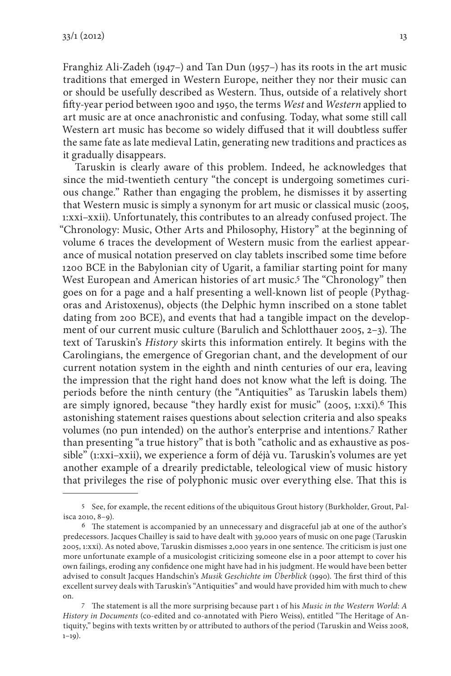Franghiz Ali-Zadeh (1947–) and Tan Dun (1957–) has its roots in the art music traditions that emerged in Western Europe, neither they nor their music can or should be usefully described as Western. Thus, outside of a relatively short fifty-year period between 1900 and 1950, the terms *West* and *Western* applied to art music are at once anachronistic and confusing. Today, what some still call Western art music has become so widely diffused that it will doubtless suffer the same fate as late medieval Latin, generating new traditions and practices as it gradually disappears.

Taruskin is clearly aware of this problem. Indeed, he acknowledges that since the mid-twentieth century "the concept is undergoing sometimes curious change." Rather than engaging the problem, he dismisses it by asserting that Western music is simply a synonym for art music or classical music (2005, 1:xxi–xxii). Unfortunately, this contributes to an already confused project. The "Chronology: Music, Other Arts and Philosophy, History" at the beginning of volume 6 traces the development of Western music from the earliest appearance of musical notation preserved on clay tablets inscribed some time before 1200 BCE in the Babylonian city of Ugarit, a familiar starting point for many West European and American histories of art music.<sup>5</sup> The "Chronology" then goes on for a page and a half presenting a well-known list of people (Pythagoras and Aristoxenus), objects (the Delphic hymn inscribed on a stone tablet dating from 200 BCE), and events that had a tangible impact on the development of our current music culture (Barulich and Schlotthauer 2005, 2–3). The text of Taruskin's *History* skirts this information entirely. It begins with the Carolingians, the emergence of Gregorian chant, and the development of our current notation system in the eighth and ninth centuries of our era, leaving the impression that the right hand does not know what the left is doing. The periods before the ninth century (the "Antiquities" as Taruskin labels them) are simply ignored, because "they hardly exist for music" (2005, 1:xxi).<sup>6</sup> This astonishing statement raises questions about selection criteria and also speaks volumes (no pun intended) on the author's enterprise and intentions.7 Rather than presenting "a true history" that is both "catholic and as exhaustive as possible" (1:xxi–xxii), we experience a form of déjà vu. Taruskin's volumes are yet another example of a drearily predictable, teleological view of music history that privileges the rise of polyphonic music over everything else. That this is

<sup>5</sup> See, for example, the recent editions of the ubiquitous Grout history (Burkholder, Grout, Palisca 2010, 8–9).

<sup>6</sup> The statement is accompanied by an unnecessary and disgraceful jab at one of the author's predecessors. Jacques Chailley is said to have dealt with 39,000 years of music on one page (Taruskin 2005, 1:xxi). As noted above, Taruskin dismisses 2,000 years in one sentence. The criticism is just one more unfortunate example of a musicologist criticizing someone else in a poor attempt to cover his own failings, eroding any confidence one might have had in his judgment. He would have been better advised to consult Jacques Handschin's *Musik Geschichte im Überblick* (1990). The first third of this excellent survey deals with Taruskin's "Antiquities" and would have provided him with much to chew on.

<sup>7</sup> The statement is all the more surprising because part 1 of his *Music in the Western World: A History in Documents* (co-edited and co-annotated with Piero Weiss), entitled "The Heritage of Antiquity," begins with texts written by or attributed to authors of the period (Taruskin and Weiss 2008,  $1-19$ ).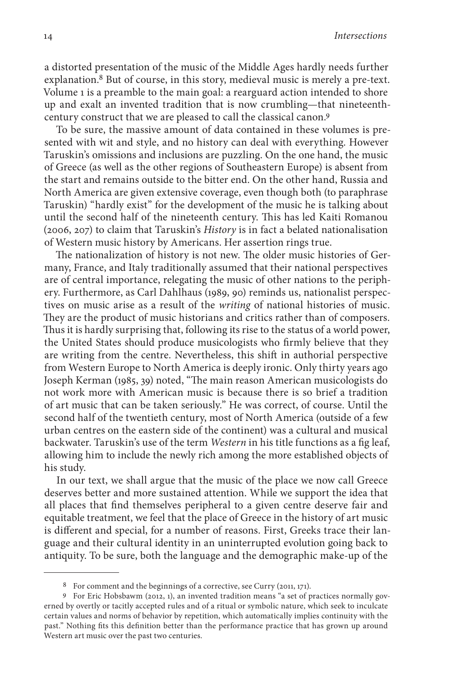a distorted presentation of the music of the Middle Ages hardly needs further explanation.8 But of course, in this story, medieval music is merely a pre-text. Volume 1 is a preamble to the main goal: a rearguard action intended to shore up and exalt an invented tradition that is now crumbling—that nineteenthcentury construct that we are pleased to call the classical canon.9

To be sure, the massive amount of data contained in these volumes is presented with wit and style, and no history can deal with everything. However Taruskin's omissions and inclusions are puzzling. On the one hand, the music of Greece (as well as the other regions of Southeastern Europe) is absent from the start and remains outside to the bitter end. On the other hand, Russia and North America are given extensive coverage, even though both (to paraphrase Taruskin) "hardly exist" for the development of the music he is talking about until the second half of the nineteenth century. This has led Kaiti Romanou (2006, 207) to claim that Taruskin's *History* is in fact a belated nationalisation of Western music history by Americans. Her assertion rings true.

The nationalization of history is not new. The older music histories of Germany, France, and Italy traditionally assumed that their national perspectives are of central importance, relegating the music of other nations to the periphery. Furthermore, as Carl Dahlhaus (1989, 90) reminds us, nationalist perspectives on music arise as a result of the *writing* of national histories of music. They are the product of music historians and critics rather than of composers. Thus it is hardly surprising that, following its rise to the status of a world power, the United States should produce musicologists who firmly believe that they are writing from the centre. Nevertheless, this shift in authorial perspective from Western Europe to North America is deeply ironic. Only thirty years ago Joseph Kerman (1985, 39) noted, "The main reason American musicologists do not work more with American music is because there is so brief a tradition of art music that can be taken seriously." He was correct, of course. Until the second half of the twentieth century, most of North America (outside of a few urban centres on the eastern side of the continent) was a cultural and musical backwater. Taruskin's use of the term *Western* in his title functions as a fig leaf, allowing him to include the newly rich among the more established objects of his study.

In our text, we shall argue that the music of the place we now call Greece deserves better and more sustained attention. While we support the idea that all places that find themselves peripheral to a given centre deserve fair and equitable treatment, we feel that the place of Greece in the history of art music is different and special, for a number of reasons. First, Greeks trace their language and their cultural identity in an uninterrupted evolution going back to antiquity. To be sure, both the language and the demographic make-up of the

<sup>8</sup> For comment and the beginnings of a corrective, see Curry (2011, 171).

<sup>9</sup> For Eric Hobsbawm (2012, 1), an invented tradition means "a set of practices normally governed by overtly or tacitly accepted rules and of a ritual or symbolic nature, which seek to inculcate certain values and norms of behavior by repetition, which automatically implies continuity with the past." Nothing fits this definition better than the performance practice that has grown up around Western art music over the past two centuries.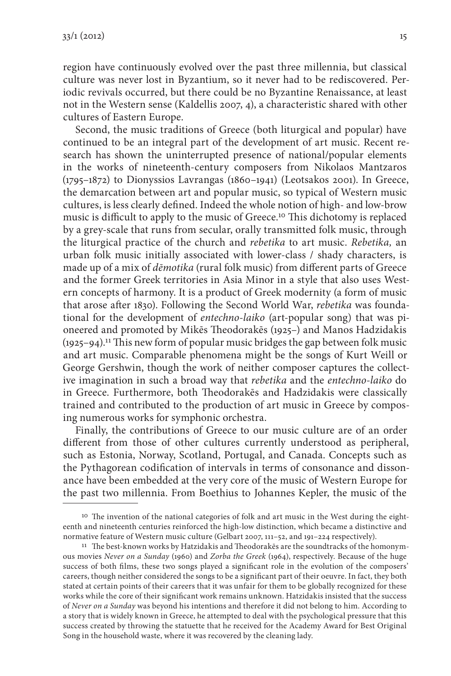region have continuously evolved over the past three millennia, but classical culture was never lost in Byzantium, so it never had to be rediscovered. Periodic revivals occurred, but there could be no Byzantine Renaissance, at least not in the Western sense (Kaldellis 2007, 4), a characteristic shared with other cultures of Eastern Europe.

Second, the music traditions of Greece (both liturgical and popular) have continued to be an integral part of the development of art music. Recent research has shown the uninterrupted presence of national/popular elements in the works of nineteenth-century composers from Nikolaos Mantzaros (1795–1872) to Dionyssios Lavrangas (1860–1941) (Leotsakos 2001). In Greece, the demarcation between art and popular music, so typical of Western music cultures, is less clearly defined. Indeed the whole notion of high- and low-brow music is difficult to apply to the music of Greece.10 This dichotomy is replaced by a grey-scale that runs from secular, orally transmitted folk music, through the liturgical practice of the church and *rebetika* to art music. *Rebetika,* an urban folk music initially associated with lower-class / shady characters, is made up of a mix of *dēmotika* (rural folk music) from different parts of Greece and the former Greek territories in Asia Minor in a style that also uses Western concepts of harmony. It is a product of Greek modernity (a form of music that arose after 1830). Following the Second World War, *rebetika* was foundational for the development of *entechno-laiko* (art-popular song) that was pioneered and promoted by Mikēs Theodorakēs (1925–) and Manos Hadzidakis  $(1925-94)$ .<sup>11</sup> This new form of popular music bridges the gap between folk music and art music. Comparable phenomena might be the songs of Kurt Weill or George Gershwin, though the work of neither composer captures the collective imagination in such a broad way that *rebetika* and the *entechno-laiko* do in Greece. Furthermore, both Theodorakēs and Hadzidakis were classically trained and contributed to the production of art music in Greece by composing numerous works for symphonic orchestra.

Finally, the contributions of Greece to our music culture are of an order different from those of other cultures currently understood as peripheral, such as Estonia, Norway, Scotland, Portugal, and Canada. Concepts such as the Pythagorean codification of intervals in terms of consonance and dissonance have been embedded at the very core of the music of Western Europe for the past two millennia. From Boethius to Johannes Kepler, the music of the

<sup>&</sup>lt;sup>10</sup> The invention of the national categories of folk and art music in the West during the eighteenth and nineteenth centuries reinforced the high-low distinction, which became a distinctive and normative feature of Western music culture (Gelbart 2007, 111–52, and 191–224 respectively).

<sup>11</sup> The best-known works by Hatzidakis and Theodorakēs are the soundtracks of the homonymous movies *Never on a Sunday* (1960) and *Zorba the Greek* (1964), respectively. Because of the huge success of both films, these two songs played a significant role in the evolution of the composers' careers, though neither considered the songs to be a significant part of their oeuvre. In fact, they both stated at certain points of their careers that it was unfair for them to be globally recognized for these works while the core of their significant work remains unknown. Hatzidakis insisted that the success of *Never on a Sunday* was beyond his intentions and therefore it did not belong to him. According to a story that is widely known in Greece, he attempted to deal with the psychological pressure that this success created by throwing the statuette that he received for the Academy Award for Best Original Song in the household waste, where it was recovered by the cleaning lady.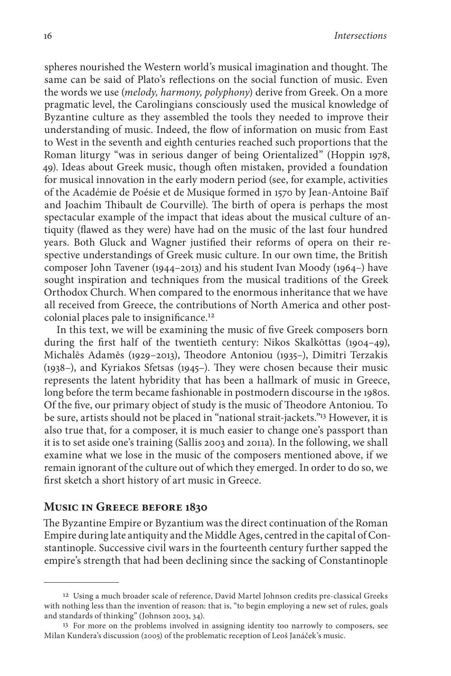spheres nourished the Western world's musical imagination and thought. The same can be said of Plato's reflections on the social function of music. Even the words we use (*melody, harmony, polyphony*) derive from Greek. On a more pragmatic level, the Carolingians consciously used the musical knowledge of Byzantine culture as they assembled the tools they needed to improve their understanding of music. Indeed, the flow of information on music from East to West in the seventh and eighth centuries reached such proportions that the Roman liturgy "was in serious danger of being Orientalized" (Hoppin 1978, 49). Ideas about Greek music, though often mistaken, provided a foundation for musical innovation in the early modern period (see, for example, activities of the Académie de Poésie et de Musique formed in 1570 by Jean-Antoine Baïf and Joachim Thibault de Courville). The birth of opera is perhaps the most spectacular example of the impact that ideas about the musical culture of antiquity (flawed as they were) have had on the music of the last four hundred years. Both Gluck and Wagner justified their reforms of opera on their respective understandings of Greek music culture. In our own time, the British composer John Tavener (1944–2013) and his student Ivan Moody (1964–) have sought inspiration and techniques from the musical traditions of the Greek Orthodox Church. When compared to the enormous inheritance that we have all received from Greece, the contributions of North America and other postcolonial places pale to insignificance.12

In this text, we will be examining the music of five Greek composers born during the first half of the twentieth century: Nikos Skalkōttas (1904–49), Michalēs Adamēs (1929–2013), Theodore Antoniou (1935–), Dimitri Terzakis (1938–), and Kyriakos Sfetsas (1945–). They were chosen because their music represents the latent hybridity that has been a hallmark of music in Greece, long before the term became fashionable in postmodern discourse in the 1980s. Of the five, our primary object of study is the music of Theodore Antoniou. To be sure, artists should not be placed in "national strait-jackets."13 However, it is also true that, for a composer, it is much easier to change one's passport than it is to set aside one's training (Sallis 2003 and 2011a). In the following, we shall examine what we lose in the music of the composers mentioned above, if we remain ignorant of the culture out of which they emerged. In order to do so, we first sketch a short history of art music in Greece.

### **Music in Greece before 1830**

The Byzantine Empire or Byzantium was the direct continuation of the Roman Empire during late antiquity and the Middle Ages, centred in the capital of Constantinople. Successive civil wars in the fourteenth century further sapped the empire's strength that had been declining since the sacking of Constantinople

<sup>12</sup> Using a much broader scale of reference, David Martel Johnson credits pre-classical Greeks with nothing less than the invention of reason: that is, "to begin employing a new set of rules, goals and standards of thinking" (Johnson 2003, 34).

<sup>&</sup>lt;sup>13</sup> For more on the problems involved in assigning identity too narrowly to composers, see Milan Kundera's discussion (2005) of the problematic reception of Leoš Janáček's music.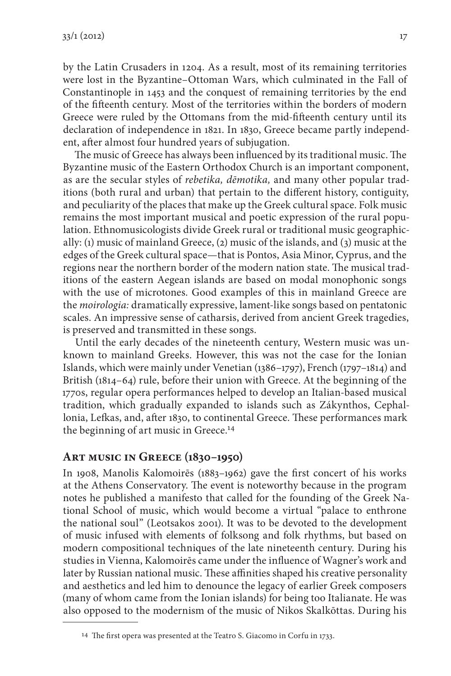by the Latin Crusaders in 1204. As a result, most of its remaining territories were lost in the Byzantine–Ottoman Wars, which culminated in the Fall of Constantinople in 1453 and the conquest of remaining territories by the end of the fifteenth century. Most of the territories within the borders of modern Greece were ruled by the Ottomans from the mid-fifteenth century until its declaration of independence in 1821. In 1830, Greece became partly independent, after almost four hundred years of subjugation.

The music of Greece has always been influenced by its traditional music. The Byzantine music of the Eastern Orthodox Church is an important component, as are the secular styles of *rebetika, dēmotika,* and many other popular traditions (both rural and urban) that pertain to the different history, contiguity, and peculiarity of the places that make up the Greek cultural space. Folk music remains the most important musical and poetic expression of the rural population. Ethnomusicologists divide Greek rural or traditional music geographically: (1) music of mainland Greece, (2) music of the islands, and (3) music at the edges of the Greek cultural space—that is Pontos, Asia Minor, Cyprus, and the regions near the northern border of the modern nation state. The musical traditions of the eastern Aegean islands are based on modal monophonic songs with the use of microtones. Good examples of this in mainland Greece are the *moirologia:* dramatically expressive, lament-like songs based on pentatonic scales. An impressive sense of catharsis, derived from ancient Greek tragedies, is preserved and transmitted in these songs.

Until the early decades of the nineteenth century, Western music was unknown to mainland Greeks. However, this was not the case for the Ionian Islands, which were mainly under Venetian (1386–1797), French (1797–1814) and British (1814–64) rule, before their union with Greece. At the beginning of the 1770s, regular opera performances helped to develop an Italian-based musical tradition, which gradually expanded to islands such as Zákynthos, Cephallonia, Lefkas, and, after 1830, to continental Greece. These performances mark the beginning of art music in Greece.14

## **Art music in Greece (1830–1950)**

In 1908, Manolis Kalomoirēs (1883–1962) gave the first concert of his works at the Athens Conservatory. The event is noteworthy because in the program notes he published a manifesto that called for the founding of the Greek National School of music, which would become a virtual "palace to enthrone the national soul" (Leotsakos 2001). It was to be devoted to the development of music infused with elements of folksong and folk rhythms, but based on modern compositional techniques of the late nineteenth century. During his studies in Vienna, Kalomoirēs came under the influence of Wagner's work and later by Russian national music. These affinities shaped his creative personality and aesthetics and led him to denounce the legacy of earlier Greek composers (many of whom came from the Ionian islands) for being too Italianate. He was also opposed to the modernism of the music of Nikos Skalkōttas. During his

<sup>14</sup> The first opera was presented at the Teatro S. Giacomo in Corfu in 1733.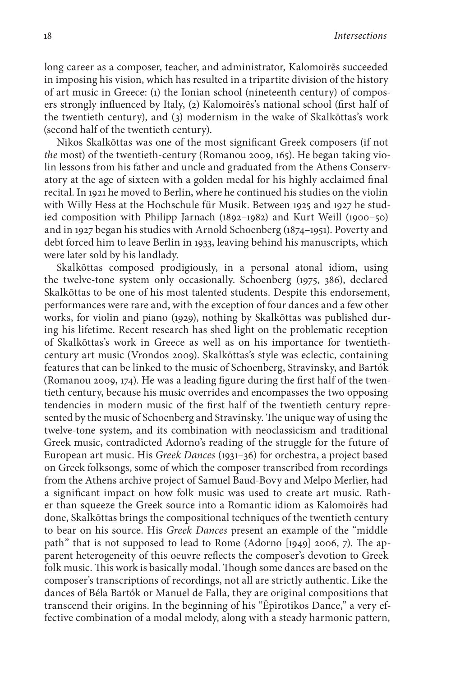long career as a composer, teacher, and administrator, Kalomoirēs succeeded in imposing his vision, which has resulted in a tripartite division of the history of art music in Greece: (1) the Ionian school (nineteenth century) of composers strongly influenced by Italy, (2) Kalomoirēs's national school (first half of the twentieth century), and (3) modernism in the wake of Skalkōttas's work (second half of the twentieth century).

Nikos Skalkōttas was one of the most significant Greek composers (if not *the* most) of the twentieth-century (Romanou 2009, 165). He began taking violin lessons from his father and uncle and graduated from the Athens Conservatory at the age of sixteen with a golden medal for his highly acclaimed final recital. In 1921 he moved to Berlin, where he continued his studies on the violin with Willy Hess at the Hochschule für Musik. Between 1925 and 1927 he studied composition with Philipp Jarnach (1892–1982) and Kurt Weill (1900–50) and in 1927 began his studies with Arnold Schoenberg (1874–1951). Poverty and debt forced him to leave Berlin in 1933, leaving behind his manuscripts, which were later sold by his landlady.

Skalkōttas composed prodigiously, in a personal atonal idiom, using the twelve-tone system only occasionally. Schoenberg (1975, 386), declared Skalkōttas to be one of his most talented students. Despite this endorsement, performances were rare and, with the exception of four dances and a few other works, for violin and piano (1929), nothing by Skalkōttas was published during his lifetime. Recent research has shed light on the problematic reception of Skalkōttas's work in Greece as well as on his importance for twentiethcentury art music (Vrondos 2009). Skalkōttas's style was eclectic, containing features that can be linked to the music of Schoenberg, Stravinsky, and Bartók (Romanou 2009, 174). He was a leading figure during the first half of the twentieth century, because his music overrides and encompasses the two opposing tendencies in modern music of the first half of the twentieth century represented by the music of Schoenberg and Stravinsky. The unique way of using the twelve-tone system, and its combination with neoclassicism and traditional Greek music, contradicted Adorno's reading of the struggle for the future of European art music. His *Greek Dances* (1931–36) for orchestra, a project based on Greek folksongs, some of which the composer transcribed from recordings from the Athens archive project of Samuel Baud-Bovy and Melpo Merlier, had a significant impact on how folk music was used to create art music. Rather than squeeze the Greek source into a Romantic idiom as Kalomoirēs had done, Skalkōttas brings the compositional techniques of the twentieth century to bear on his source. His *Greek Dances* present an example of the "middle path" that is not supposed to lead to Rome (Adorno [1949] 2006, 7). The apparent heterogeneity of this oeuvre reflects the composer's devotion to Greek folk music. This work is basically modal. Though some dances are based on the composer's transcriptions of recordings, not all are strictly authentic. Like the dances of Béla Bartók or Manuel de Falla, they are original compositions that transcend their origins. In the beginning of his "Ēpirotikos Dance," a very effective combination of a modal melody, along with a steady harmonic pattern,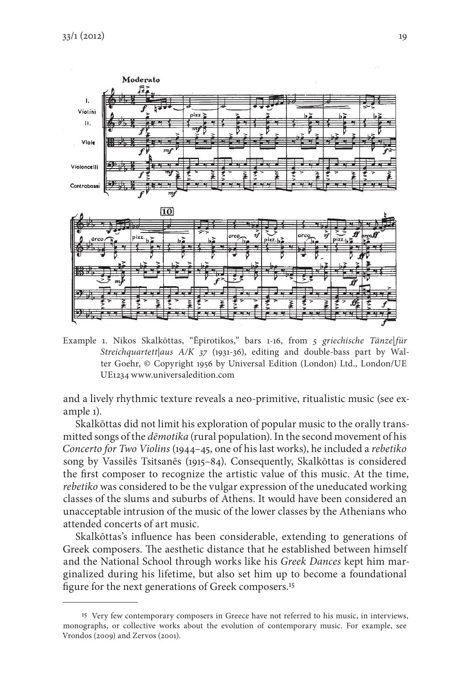

Example 1. Nikos Skalkōttas, "Ēpirotikos," bars 1-16, from *5 griechische Tänze|für Streichquartett|aus A/K 37* (1931-36), editing and double-bass part by Walter Goehr, © Copyright 1956 by Universal Edition (London) Ltd., London/UE UE1234 www.universaledition.com

and a lively rhythmic texture reveals a neo-primitive, ritualistic music (see example 1).

Skalkōttas did not limit his exploration of popular music to the orally transmitted songs of the *dēmotika* (rural population). In the second movement of his *Concerto for Two Violins* (1944–45, one of his last works), he included a *rebetiko* song by Vassilēs Tsitsanēs (1915–84). Consequently, Skalkōttas is considered the first composer to recognize the artistic value of this music. At the time, *rebetiko* was considered to be the vulgar expression of the uneducated working classes of the slums and suburbs of Athens. It would have been considered an unacceptable intrusion of the music of the lower classes by the Athenians who attended concerts of art music.

Skalkōttas's influence has been considerable, extending to generations of Greek composers. The aesthetic distance that he established between himself and the National School through works like his *Greek Dances* kept him marginalized during his lifetime, but also set him up to become a foundational figure for the next generations of Greek composers.15

<sup>15</sup> Very few contemporary composers in Greece have not referred to his music, in interviews, monographs, or collective works about the evolution of contemporary music. For example, see Vrondos (2009) and Zervos (2001).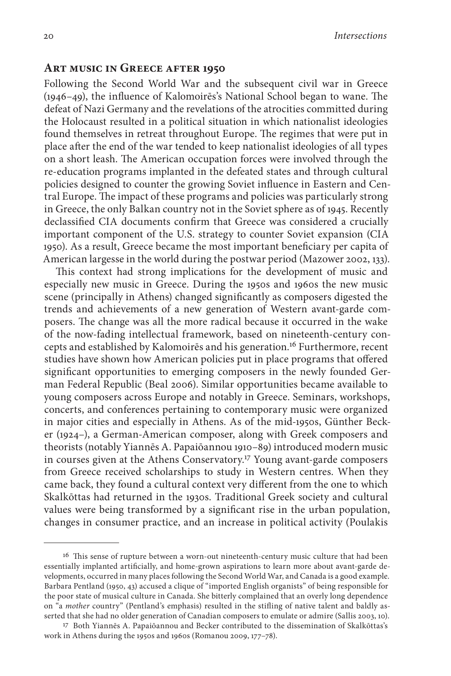20 *Intersections*

### **Art music in Greece after 1950**

Following the Second World War and the subsequent civil war in Greece (1946–49), the influence of Kalomoirēs's National School began to wane. The defeat of Nazi Germany and the revelations of the atrocities committed during the Holocaust resulted in a political situation in which nationalist ideologies found themselves in retreat throughout Europe. The regimes that were put in place after the end of the war tended to keep nationalist ideologies of all types on a short leash. The American occupation forces were involved through the re-education programs implanted in the defeated states and through cultural policies designed to counter the growing Soviet influence in Eastern and Central Europe. The impact of these programs and policies was particularly strong in Greece, the only Balkan country not in the Soviet sphere as of 1945. Recently declassified CIA documents confirm that Greece was considered a crucially important component of the U.S. strategy to counter Soviet expansion (CIA 1950). As a result, Greece became the most important beneficiary per capita of American largesse in the world during the postwar period (Mazower 2002, 133).

This context had strong implications for the development of music and especially new music in Greece. During the 1950s and 1960s the new music scene (principally in Athens) changed significantly as composers digested the trends and achievements of a new generation of Western avant-garde composers. The change was all the more radical because it occurred in the wake of the now-fading intellectual framework, based on nineteenth-century concepts and established by Kalomoirēs and his generation.16 Furthermore, recent studies have shown how American policies put in place programs that offered significant opportunities to emerging composers in the newly founded German Federal Republic (Beal 2006). Similar opportunities became available to young composers across Europe and notably in Greece. Seminars, workshops, concerts, and conferences pertaining to contemporary music were organized in major cities and especially in Athens. As of the mid-1950s, Günther Becker (1924–), a German-American composer, along with Greek composers and theorists (notably Yiannēs A. Papaiōannou 1910–89) introduced modern music in courses given at the Athens Conservatory.<sup>17</sup> Young avant-garde composers from Greece received scholarships to study in Western centres. When they came back, they found a cultural context very different from the one to which Skalkōttas had returned in the 1930s. Traditional Greek society and cultural values were being transformed by a significant rise in the urban population, changes in consumer practice, and an increase in political activity (Poulakis

<sup>&</sup>lt;sup>16</sup> This sense of rupture between a worn-out nineteenth-century music culture that had been essentially implanted artificially, and home-grown aspirations to learn more about avant-garde developments, occurred in many places following the Second World War, and Canada is a good example. Barbara Pentland (1950, 43) accused a clique of "imported English organists" of being responsible for the poor state of musical culture in Canada. She bitterly complained that an overly long dependence on "a *mother* country" (Pentland's emphasis) resulted in the stifling of native talent and baldly asserted that she had no older generation of Canadian composers to emulate or admire (Sallis 2003, 10).

<sup>17</sup> Both Yiannēs A. Papaiōannou and Becker contributed to the dissemination of Skalkōttas's work in Athens during the 1950s and 1960s (Romanou 2009, 177–78).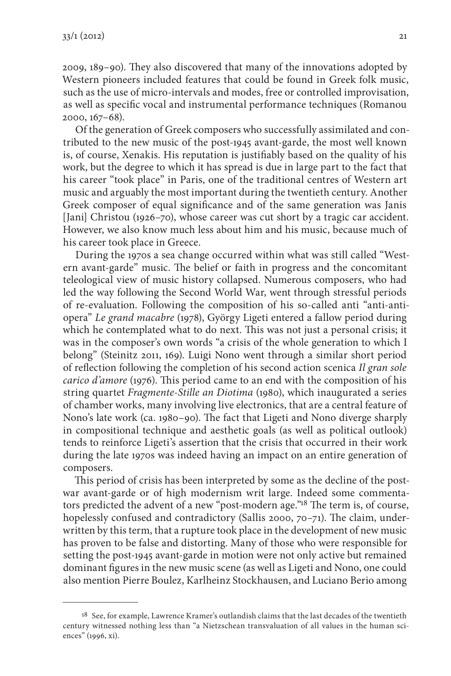2009, 189–90). They also discovered that many of the innovations adopted by Western pioneers included features that could be found in Greek folk music, such as the use of micro-intervals and modes, free or controlled improvisation, as well as specific vocal and instrumental performance techniques (Romanou 2000, 167–68).

Of the generation of Greek composers who successfully assimilated and contributed to the new music of the post-1945 avant-garde, the most well known is, of course, Xenakis. His reputation is justifiably based on the quality of his work, but the degree to which it has spread is due in large part to the fact that his career "took place" in Paris, one of the traditional centres of Western art music and arguably the most important during the twentieth century. Another Greek composer of equal significance and of the same generation was Janis [Jani] Christou (1926–70), whose career was cut short by a tragic car accident. However, we also know much less about him and his music, because much of his career took place in Greece.

During the 1970s a sea change occurred within what was still called "Western avant-garde" music. The belief or faith in progress and the concomitant teleological view of music history collapsed. Numerous composers, who had led the way following the Second World War, went through stressful periods of re-evaluation. Following the composition of his so-called anti "anti-antiopera" *Le grand macabre* (1978), György Ligeti entered a fallow period during which he contemplated what to do next. This was not just a personal crisis; it was in the composer's own words "a crisis of the whole generation to which I belong" (Steinitz 2011, 169). Luigi Nono went through a similar short period of reflection following the completion of his second action scenica *Il gran sole carico d'amore* (1976). This period came to an end with the composition of his string quartet *Fragmente-Stille an Diotima* (1980), which inaugurated a series of chamber works, many involving live electronics, that are a central feature of Nono's late work (ca. 1980–90). The fact that Ligeti and Nono diverge sharply in compositional technique and aesthetic goals (as well as political outlook) tends to reinforce Ligeti's assertion that the crisis that occurred in their work during the late 1970s was indeed having an impact on an entire generation of composers.

This period of crisis has been interpreted by some as the decline of the postwar avant-garde or of high modernism writ large. Indeed some commentators predicted the advent of a new "post-modern age."18 The term is, of course, hopelessly confused and contradictory (Sallis 2000, 70-71). The claim, underwritten by this term, that a rupture took place in the development of new music has proven to be false and distorting. Many of those who were responsible for setting the post-1945 avant-garde in motion were not only active but remained dominant figures in the new music scene (as well as Ligeti and Nono, one could also mention Pierre Boulez, Karlheinz Stockhausen, and Luciano Berio among

<sup>18</sup> See, for example, Lawrence Kramer's outlandish claims that the last decades of the twentieth century witnessed nothing less than "a Nietzschean transvaluation of all values in the human sciences" (1996, xi).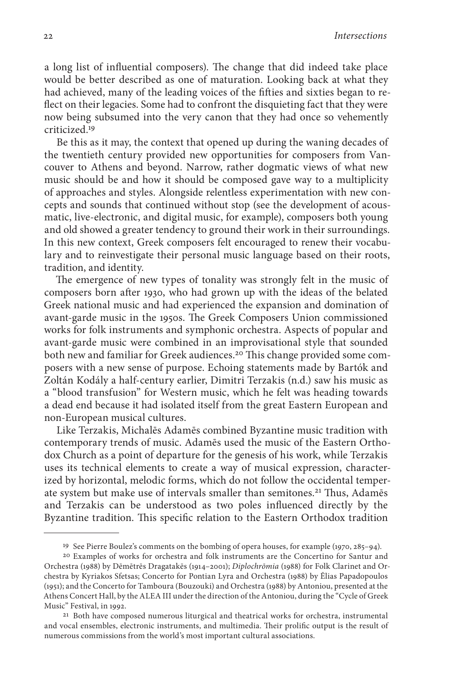a long list of influential composers). The change that did indeed take place would be better described as one of maturation. Looking back at what they had achieved, many of the leading voices of the fifties and sixties began to reflect on their legacies. Some had to confront the disquieting fact that they were now being subsumed into the very canon that they had once so vehemently criticized.19

Be this as it may, the context that opened up during the waning decades of the twentieth century provided new opportunities for composers from Vancouver to Athens and beyond. Narrow, rather dogmatic views of what new music should be and how it should be composed gave way to a multiplicity of approaches and styles. Alongside relentless experimentation with new concepts and sounds that continued without stop (see the development of acousmatic, live-electronic, and digital music, for example), composers both young and old showed a greater tendency to ground their work in their surroundings. In this new context, Greek composers felt encouraged to renew their vocabulary and to reinvestigate their personal music language based on their roots, tradition, and identity.

The emergence of new types of tonality was strongly felt in the music of composers born after 1930, who had grown up with the ideas of the belated Greek national music and had experienced the expansion and domination of avant-garde music in the 1950s. The Greek Composers Union commissioned works for folk instruments and symphonic orchestra. Aspects of popular and avant-garde music were combined in an improvisational style that sounded both new and familiar for Greek audiences.<sup>20</sup> This change provided some composers with a new sense of purpose. Echoing statements made by Bartók and Zoltán Kodály a half-century earlier, Dimitri Terzakis (n.d.) saw his music as a "blood transfusion" for Western music, which he felt was heading towards a dead end because it had isolated itself from the great Eastern European and non-European musical cultures.

Like Terzakis, Michalēs Adamēs combined Byzantine music tradition with contemporary trends of music. Adamēs used the music of the Eastern Orthodox Church as a point of departure for the genesis of his work, while Terzakis uses its technical elements to create a way of musical expression, characterized by horizontal, melodic forms, which do not follow the occidental temperate system but make use of intervals smaller than semitones.<sup>21</sup> Thus, Adames and Terzakis can be understood as two poles influenced directly by the Byzantine tradition. This specific relation to the Eastern Orthodox tradition

<sup>&</sup>lt;sup>19</sup> See Pierre Boulez's comments on the bombing of opera houses, for example (1970, 285–94).<br><sup>20</sup> Examples of works for orchestra and folk instruments are the Concertino for Santur and

Orchestra (1988) by Dēmētrēs Dragatakēs (1914–2001); *Diplochrōmia* (1988) for Folk Clarinet and Orchestra by Kyriakos Sfetsas; Concerto for Pontian Lyra and Orchestra (1988) by Ēlias Papadopoulos (1951); and the Concerto for Tamboura (Bouzouki) and Orchestra (1988) by Antoniou, presented at the Athens Concert Hall, by the ALEA III under the direction of the Antoniou, during the "Cycle of Greek Music" Festival, in 1992. 21 Both have composed numerous liturgical and theatrical works for orchestra, instrumental

and vocal ensembles, electronic instruments, and multimedia. Their prolific output is the result of numerous commissions from the world's most important cultural associations.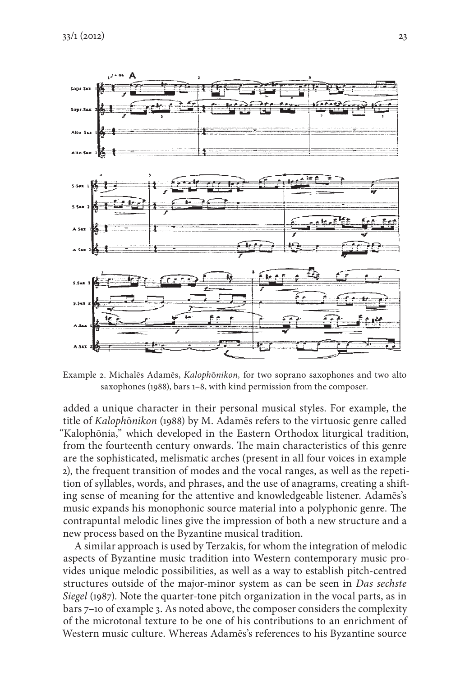

Example 2. Michalēs Adamēs, *Kaloph*ō*nikon,* for two soprano saxophones and two alto saxophones (1988), bars 1–8, with kind permission from the composer.

added a unique character in their personal musical styles. For example, the title of *Kaloph*ō*nikon* (1988) by M. Adamēs refers to the virtuosic genre called "Kalophōnia," which developed in the Eastern Orthodox liturgical tradition, from the fourteenth century onwards. The main characteristics of this genre are the sophisticated, melismatic arches (present in all four voices in example 2), the frequent transition of modes and the vocal ranges, as well as the repetition of syllables, words, and phrases, and the use of anagrams, creating a shifting sense of meaning for the attentive and knowledgeable listener. Adamēs's music expands his monophonic source material into a polyphonic genre. The contrapuntal melodic lines give the impression of both a new structure and a new process based on the Byzantine musical tradition.

Α similar approach is used by Terzakis, for whom the integration of melodic aspects of Byzantine music tradition into Western contemporary music provides unique melodic possibilities, as well as a way to establish pitch-centred structures outside of the major-minor system as can be seen in *Das sechste Siegel* (1987). Note the quarter-tone pitch organization in the vocal parts, as in bars 7–10 of example 3. As noted above, the composer considers the complexity of the microtonal texture to be one of his contributions to an enrichment of Western music culture. Whereas Adamēs's references to his Byzantine source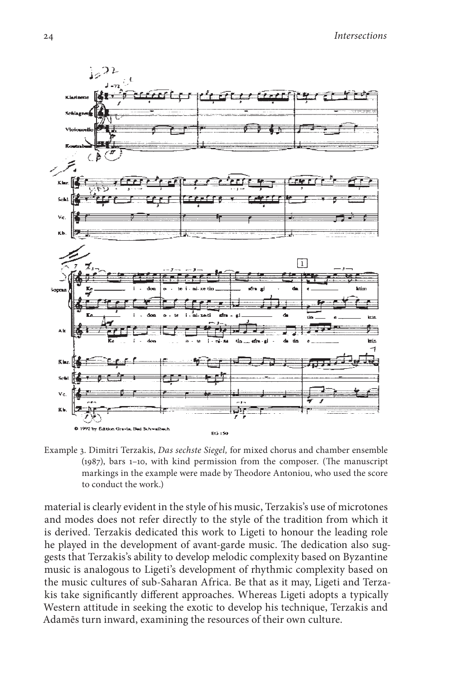24 *Intersections*



Example 3. Dimitri Terzakis, *Das sechste Siegel,* for mixed chorus and chamber ensemble (1987), bars 1–10, with kind permission from the composer. (The manuscript markings in the example were made by Theodore Antoniou, who used the score to conduct the work.)

material is clearly evident in the style of his music, Terzakis's use of microtones and modes does not refer directly to the style of the tradition from which it is derived. Terzakis dedicated this work to Ligeti to honour the leading role he played in the development of avant-garde music. The dedication also suggests that Terzakis's ability to develop melodic complexity based on Byzantine music is analogous to Ligeti's development of rhythmic complexity based on the music cultures of sub-Saharan Africa. Be that as it may, Ligeti and Terzakis take significantly different approaches. Whereas Ligeti adopts a typically Western attitude in seeking the exotic to develop his technique, Terzakis and Adamēs turn inward, examining the resources of their own culture.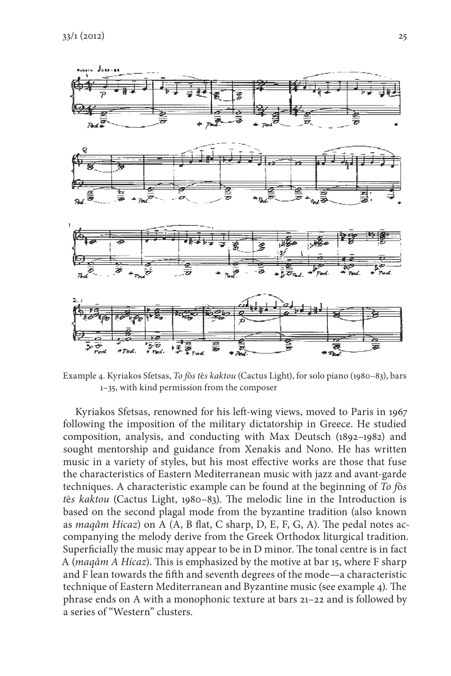

Example 4. Kyriakos Sfetsas, *To f*ō*s t*ē*s kaktou* (Cactus Light), for solo piano (1980–83), bars 1–35, with kind permission from the composer

Kyriakos Sfetsas, renowned for his left-wing views, moved to Paris in 1967 following the imposition of the military dictatorship in Greece. He studied composition, analysis, and conducting with Max Deutsch (1892–1982) and sought mentorship and guidance from Xenakis and Nono. He has written music in a variety of styles, but his most effective works are those that fuse the characteristics of Eastern Mediterranean music with jazz and avant-garde techniques. A characteristic example can be found at the beginning of *To f*ō*s t*ē*s kaktou* (Cactus Light, 1980–83). The melodic line in the Introduction is based on the second plagal mode from the byzantine tradition (also known as *maqâm Hicaz*) on A (A, B flat, C sharp, D, E, F, G, A). The pedal notes accompanying the melody derive from the Greek Orthodox liturgical tradition. Superficially the music may appear to be in D minor. The tonal centre is in fact A (*maqâm A Hicaz*). This is emphasized by the motive at bar 15, where F sharp and F lean towards the fifth and seventh degrees of the mode—a characteristic technique of Eastern Mediterranean and Byzantine music (see example 4). The phrase ends on A with a monophonic texture at bars 21–22 and is followed by a series of "Western" clusters.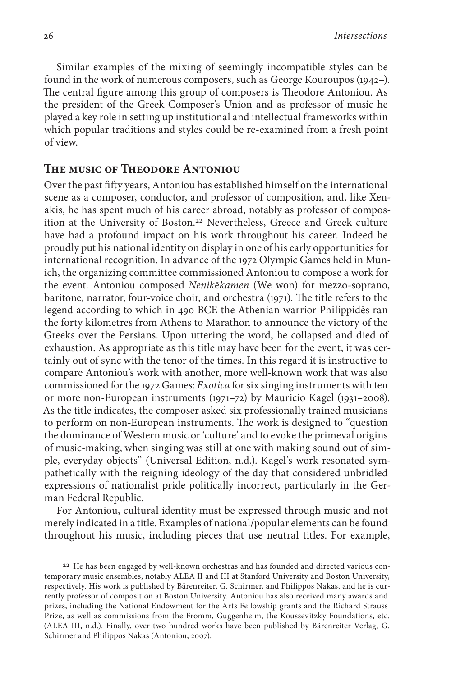26 *Intersections*

Similar examples of the mixing of seemingly incompatible styles can be found in the work of numerous composers, such as George Kouroupos (1942–). The central figure among this group of composers is Theodore Antoniou. As the president of the Greek Composer's Union and as professor of music he played a key role in setting up institutional and intellectual frameworks within which popular traditions and styles could be re-examined from a fresh point of view.

## **The music of Theodore Antoniou**

Over the past fifty years, Antoniou has established himself on the international scene as a composer, conductor, and professor of composition, and, like Xenakis, he has spent much of his career abroad, notably as professor of composition at the University of Boston.<sup>22</sup> Nevertheless, Greece and Greek culture have had a profound impact on his work throughout his career. Indeed he proudly put his national identity on display in one of his early opportunities for international recognition. In advance of the 1972 Olympic Games held in Munich, the organizing committee commissioned Antoniou to compose a work for the event. Antoniou composed *Nenik*ē*kamen* (We won) for mezzo-soprano, baritone, narrator, four-voice choir, and orchestra (1971). The title refers to the legend according to which in 490 BCE the Athenian warrior Philippidēs ran the forty kilometres from Athens to Marathon to announce the victory of the Greeks over the Persians. Upon uttering the word, he collapsed and died of exhaustion. As appropriate as this title may have been for the event, it was certainly out of sync with the tenor of the times. In this regard it is instructive to compare Antoniou's work with another, more well-known work that was also commissioned for the 1972 Games: *Exotica* for six singing instruments with ten or more non-European instruments (1971–72) by Mauricio Kagel (1931–2008). As the title indicates, the composer asked six professionally trained musicians to perform on non-European instruments. The work is designed to "question the dominance of Western music or 'culture' and to evoke the primeval origins of music-making, when singing was still at one with making sound out of simple, everyday objects" (Universal Edition, n.d.). Kagel's work resonated sympathetically with the reigning ideology of the day that considered unbridled expressions of nationalist pride politically incorrect, particularly in the German Federal Republic.

For Antoniou, cultural identity must be expressed through music and not merely indicated in a title. Examples of national/popular elements can be found throughout his music, including pieces that use neutral titles. For example,

<sup>22</sup> He has been engaged by well-known orchestras and has founded and directed various contemporary music ensembles, notably ALEA II and III at Stanford University and Boston University, respectively. His work is published by Bärenreiter, G. Schirmer, and Philippos Nakas, and he is currently professor of composition at Boston University. Antoniou has also received many awards and prizes, including the National Endowment for the Arts Fellowship grants and the Richard Strauss Prize, as well as commissions from the Fromm, Guggenheim, the Koussevitzky Foundations, etc. (ALEA III, n.d.). Finally, over two hundred works have been published by Bärenreiter Verlag, G. Schirmer and Philippos Nakas (Antoniou, 2007).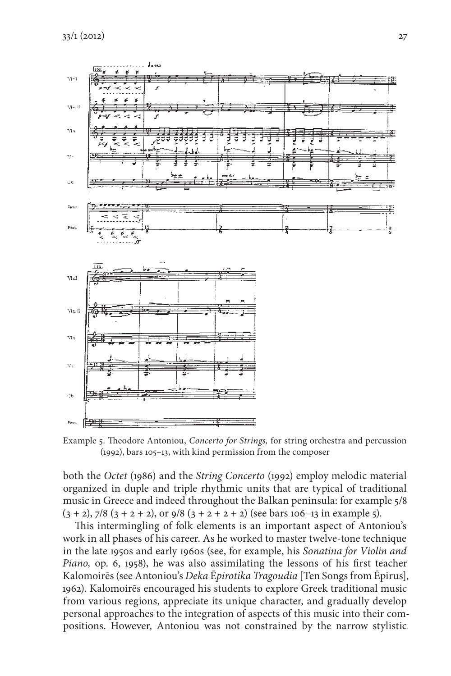

Example 5. Theodore Antoniou, *Concerto for Strings,* for string orchestra and percussion (1992), bars 105–13, with kind permission from the composer

both the *Octet* (1986) and the *String Concerto* (1992) employ melodic material organized in duple and triple rhythmic units that are typical of traditional music in Greece and indeed throughout the Balkan peninsula: for example 5/8  $(3 + 2)$ , 7/8  $(3 + 2 + 2)$ , or 9/8  $(3 + 2 + 2 + 2)$  (see bars 106–13 in example 5).

This intermingling of folk elements is an important aspect of Antoniou's work in all phases of his career. As he worked to master twelve-tone technique in the late 1950s and early 1960s (see, for example, his *Sonatina for Violin and Piano,* op. 6, 1958), he was also assimilating the lessons of his first teacher Kalomoirēs (see Antoniou's *Deka* Ē*pirotika Tragoudia* [Ten Songs from Ēpirus], 1962). Kalomoirēs encouraged his students to explore Greek traditional music from various regions, appreciate its unique character, and gradually develop personal approaches to the integration of aspects of this music into their compositions. However, Antoniou was not constrained by the narrow stylistic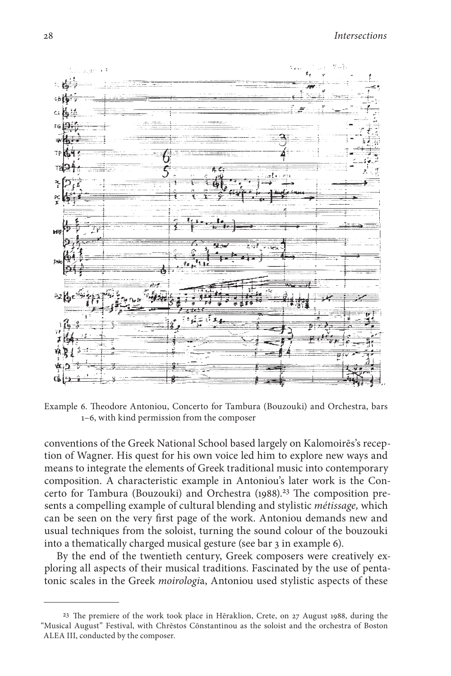

Example 6. Theodore Antoniou, Concerto for Tambura (Bouzouki) and Orchestra, bars 1–6, with kind permission from the composer

conventions of the Greek National School based largely on Kalomoirēs's reception of Wagner. His quest for his own voice led him to explore new ways and means to integrate the elements of Greek traditional music into contemporary composition. A characteristic example in Antoniou's later work is the Concerto for Tambura (Bouzouki) and Orchestra (1988).<sup>23</sup> The composition presents a compelling example of cultural blending and stylistic *métissage,* which can be seen on the very first page of the work. Antoniou demands new and usual techniques from the soloist, turning the sound colour of the bouzouki into a thematically charged musical gesture (see bar 3 in example 6).

By the end of the twentieth century, Greek composers were creatively exploring all aspects of their musical traditions. Fascinated by the use of pentatonic scales in the Greek *moirologi*a, Antoniou used stylistic aspects of these

<sup>23</sup> The premiere of the work took place in Hēraklion, Crete, on 27 August 1988, during the "Musical August" Festival, with Chrēstos Cōnstantinou as the soloist and the orchestra of Boston ALEA III, conducted by the composer.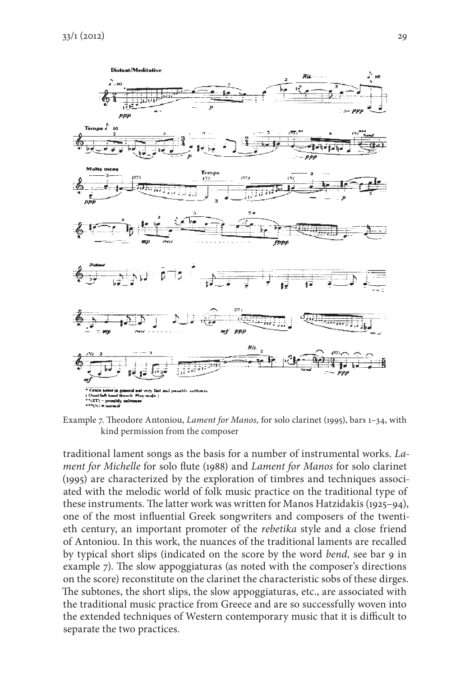

Example 7. Theodore Antoniou, *Lament for Manos,* for solo clarinet (1995), bars 1–34, with kind permission from the composer

traditional lament songs as the basis for a number of instrumental works. *Lament for Michelle* for solo flute (1988) and *Lament for Manos* for solo clarinet (1995) are characterized by the exploration of timbres and techniques associated with the melodic world of folk music practice on the traditional type of these instruments. The latter work was written for Manos Hatzidakis (1925–94), one of the most influential Greek songwriters and composers of the twentieth century, an important promoter of the *rebetika* style and a close friend of Antoniou. In this work, the nuances of the traditional laments are recalled by typical short slips (indicated on the score by the word *bend,* see bar 9 in example 7). The slow appoggiaturas (as noted with the composer's directions on the score) reconstitute on the clarinet the characteristic sobs of these dirges. The subtones, the short slips, the slow appoggiaturas, etc., are associated with the traditional music practice from Greece and are so successfully woven into the extended techniques of Western contemporary music that it is difficult to separate the two practices.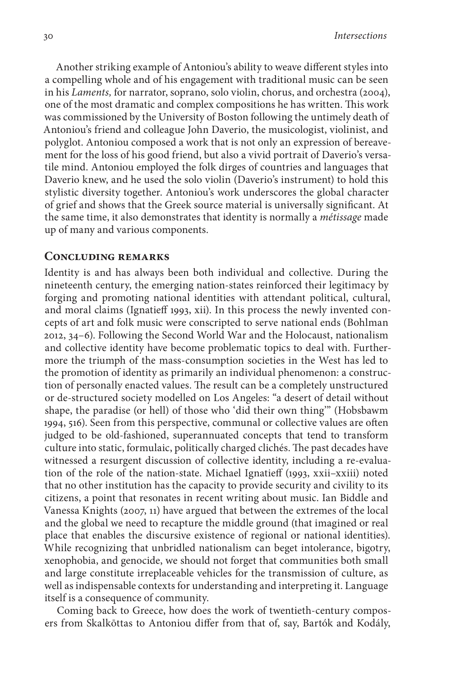Another striking example of Antoniou's ability to weave different styles into a compelling whole and of his engagement with traditional music can be seen in his *Laments,* for narrator, soprano, solo violin, chorus, and orchestra (2004), one of the most dramatic and complex compositions he has written. This work was commissioned by the University of Boston following the untimely death of Antoniou's friend and colleague John Daverio, the musicologist, violinist, and polyglot. Antoniou composed a work that is not only an expression of bereavement for the loss of his good friend, but also a vivid portrait of Daverio's versatile mind. Antoniou employed the folk dirges of countries and languages that Daverio knew, and he used the solo violin (Daverio's instrument) to hold this stylistic diversity together. Antoniou's work underscores the global character of grief and shows that the Greek source material is universally significant. At the same time, it also demonstrates that identity is normally a *métissage* made up of many and various components.

#### **Concluding remarks**

Identity is and has always been both individual and collective. During the nineteenth century, the emerging nation-states reinforced their legitimacy by forging and promoting national identities with attendant political, cultural, and moral claims (Ignatieff 1993, xii). In this process the newly invented concepts of art and folk music were conscripted to serve national ends (Bohlman 2012, 34–6). Following the Second World War and the Holocaust, nationalism and collective identity have become problematic topics to deal with. Furthermore the triumph of the mass-consumption societies in the West has led to the promotion of identity as primarily an individual phenomenon: a construction of personally enacted values. The result can be a completely unstructured or de-structured society modelled on Los Angeles: "a desert of detail without shape, the paradise (or hell) of those who 'did their own thing'" (Hobsbawm 1994, 516). Seen from this perspective, communal or collective values are often judged to be old-fashioned, superannuated concepts that tend to transform culture into static, formulaic, politically charged clichés. The past decades have witnessed a resurgent discussion of collective identity, including a re-evaluation of the role of the nation-state. Michael Ignatieff (1993, xxii–xxiii) noted that no other institution has the capacity to provide security and civility to its citizens, a point that resonates in recent writing about music. Ian Biddle and Vanessa Knights (2007, 11) have argued that between the extremes of the local and the global we need to recapture the middle ground (that imagined or real place that enables the discursive existence of regional or national identities). While recognizing that unbridled nationalism can beget intolerance, bigotry, xenophobia, and genocide, we should not forget that communities both small and large constitute irreplaceable vehicles for the transmission of culture, as well as indispensable contexts for understanding and interpreting it. Language itself is a consequence of community.

Coming back to Greece, how does the work of twentieth-century composers from Skalkōttas to Antoniou differ from that of, say, Bartók and Kodály,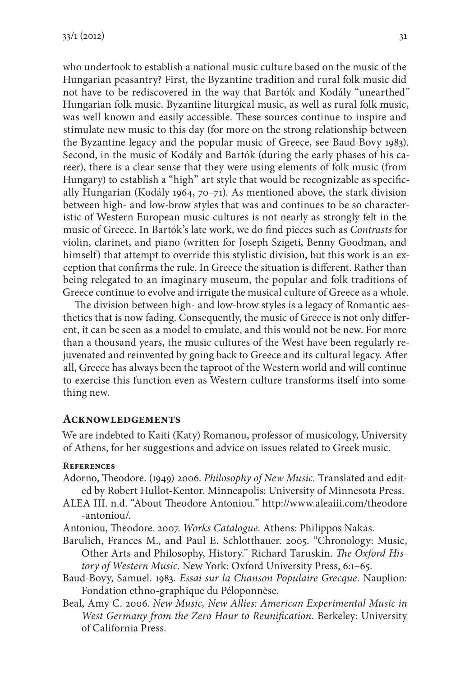who undertook to establish a national music culture based on the music of the Hungarian peasantry? First, the Byzantine tradition and rural folk music did not have to be rediscovered in the way that Bartók and Kodály "unearthed" Hungarian folk music. Byzantine liturgical music, as well as rural folk music, was well known and easily accessible. These sources continue to inspire and stimulate new music to this day (for more on the strong relationship between the Byzantine legacy and the popular music of Greece, see Baud-Bovy 1983). Second, in the music of Kodály and Bartók (during the early phases of his career), there is a clear sense that they were using elements of folk music (from Hungary) to establish a "high" art style that would be recognizable as specifically Hungarian (Kodály 1964, 70–71). As mentioned above, the stark division between high- and low-brow styles that was and continues to be so characteristic of Western European music cultures is not nearly as strongly felt in the music of Greece. In Bartók's late work, we do find pieces such as *Contrasts* for violin, clarinet, and piano (written for Joseph Szigeti, Benny Goodman, and himself) that attempt to override this stylistic division, but this work is an exception that confirms the rule. In Greece the situation is different. Rather than being relegated to an imaginary museum, the popular and folk traditions of Greece continue to evolve and irrigate the musical culture of Greece as a whole.

The division between high- and low-brow styles is a legacy of Romantic aesthetics that is now fading. Consequently, the music of Greece is not only different, it can be seen as a model to emulate, and this would not be new. For more than a thousand years, the music cultures of the West have been regularly rejuvenated and reinvented by going back to Greece and its cultural legacy. After all, Greece has always been the taproot of the Western world and will continue to exercise this function even as Western culture transforms itself into something new.

#### **Acknowledgements**

We are indebted to Kaiti (Katy) Romanou, professor of musicology, University of Athens, for her suggestions and advice on issues related to Greek music.

#### **References**

- Adorno, Theodore. (1949) 2006. *Philosophy of New Music.* Translated and edited by Robert Hullot-Kentor. Minneapolis: University of Minnesota Press.
- ALEA III. n.d. "About Theodore Antoniou." http://www.aleaiii.com/theodore -antoniou/.
- Antoniou, Theodore. 2007. *Works Catalogue.* Athens: Philippos Nakas.
- Barulich, Frances M., and Paul E. Schlotthauer. 2005. "Chronology: Music, Other Arts and Philosophy, History." Richard Taruskin. *The Oxford History of Western Music.* New York: Oxford University Press, 6:1–65.
- Baud-Bovy, Samuel. 1983. *Essai sur la Chanson Populaire Grecque.* Nauplion: Fondation ethno-graphique du Péloponnèse.
- Beal, Amy C. 2006. *New Music, New Allies: American Experimental Music in West Germany from the Zero Hour to Reunification.* Berkeley: University of California Press.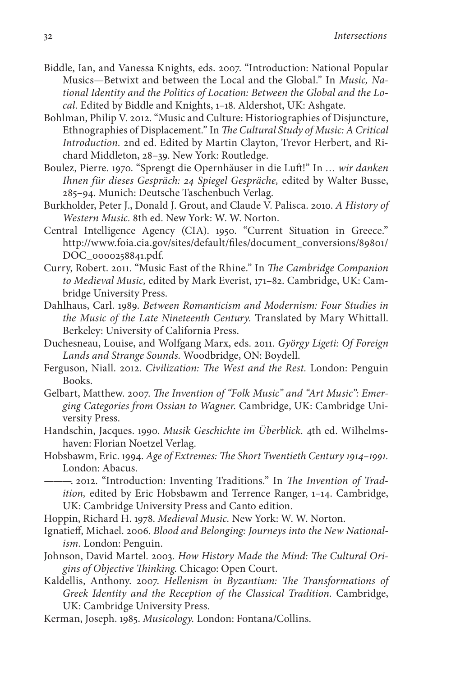- Biddle, Ian, and Vanessa Knights, eds. 2007. "Introduction: National Popular Musics—Betwixt and between the Local and the Global." In *Music, National Identity and the Politics of Location: Between the Global and the Local.* Edited by Biddle and Knights, 1–18. Aldershot, UK: Ashgate.
- Bohlman, Philip V. 2012. "Music and Culture: Historiographies of Disjuncture, Ethnographies of Displacement." In *The Cultural Study of Music: A Critical Introduction.* 2nd ed. Edited by Martin Clayton, Trevor Herbert, and Richard Middleton, 28–39. New York: Routledge.
- Boulez, Pierre. 1970. "Sprengt die Opernhäuser in die Luft!" In *… wir danken Ihnen für dieses Gespräch: 24 Spiegel Gespräche,* edited by Walter Busse, 285–94. Munich: Deutsche Taschenbuch Verlag.
- Burkholder, Peter J., Donald J. Grout, and Claude V. Palisca. 2010. *A History of Western Music.* 8th ed. New York: W. W. Norton.
- Central Intelligence Agency (CIA). 1950. "Current Situation in Greece." http://www.foia.cia.gov/sites/default/files/document\_conversions/89801/ DOC\_0000258841.pdf.
- Curry, Robert. 2011. "Music East of the Rhine." In *The Cambridge Companion to Medieval Music,* edited by Mark Everist, 171–82. Cambridge, UK: Cambridge University Press.
- Dahlhaus, Carl. 1989. *Between Romanticism and Modernism: Four Studies in the Music of the Late Nineteenth Century.* Translated by Mary Whittall. Berkeley: University of California Press.
- Duchesneau, Louise, and Wolfgang Marx, eds. 2011. *György Ligeti: Of Foreign Lands and Strange Sounds.* Woodbridge, ON: Boydell.
- Ferguson, Niall. 2012. *Civilization: The West and the Rest.* London: Penguin Books.
- Gelbart, Matthew. 2007. *The Invention of "Folk Music" and "Art Music": Emerging Categories from Ossian to Wagner.* Cambridge, UK: Cambridge University Press.
- Handschin, Jacques. 1990. *Musik Geschichte im Überblick.* 4th ed. Wilhelmshaven: Florian Noetzel Verlag.
- Hobsbawm, Eric. 1994. *Age of Extremes: The Short Twentieth Century 1914–1991.* London: Abacus.
- ———. 2012. "Introduction: Inventing Traditions." In *The Invention of Tradition,* edited by Eric Hobsbawm and Terrence Ranger, 1–14. Cambridge, UK: Cambridge University Press and Canto edition.
- Hoppin, Richard H. 1978. *Medieval Music.* New York: W. W. Norton.
- Ignatieff, Michael. 2006. *Blood and Belonging: Journeys into the New Nationalism.* London: Penguin.
- Johnson, David Martel. 2003. *How History Made the Mind: The Cultural Origins of Objective Thinking.* Chicago: Open Court.
- Kaldellis, Anthony. 2007. *Hellenism in Byzantium: The Transformations of Greek Identity and the Reception of the Classical Tradition.* Cambridge, UK: Cambridge University Press.
- Kerman, Joseph. 1985. *Musicology.* London: Fontana/Collins.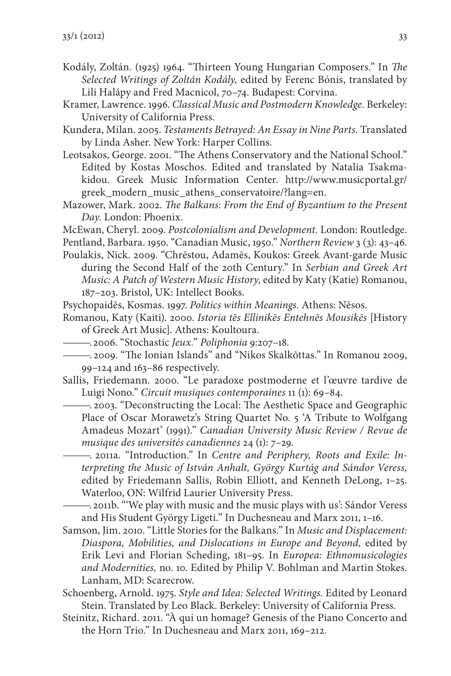- Kodály, Zoltán. (1925) 1964. "Thirteen Young Hungarian Composers." In *The Selected Writings of Zoltán Kodály,* edited by Ferenc Bónis, translated by Lili Halápy and Fred Macnicol, 70–74. Budapest: Corvina.
- Kramer, Lawrence. 1996. *Classical Music and Postmodern Knowledge.* Berkeley: University of California Press.
- Kundera, Milan. 2005. *Testaments Betrayed: An Essay in Nine Parts.* Translated by Linda Asher. New York: Harper Collins.
- Leotsakos, George. 2001. "The Athens Conservatory and the National School." Edited by Kostas Moschos. Edited and translated by Natalia Tsakmakidou. Greek Music Information Center. http://www.musicportal.gr/ greek\_modern\_music\_athens\_conservatoire/?lang=en.
- Mazower, Mark. 2002. *The Balkans: From the End of Byzantium to the Present Day.* London: Phoenix.
- McEwan, Cheryl. 2009. *Postcolonialism and Development.* London: Routledge.
- Pentland, Barbara. 1950. "Canadian Music, 1950." *Northern Review* 3 (3): 43–46.
- Poulakis, Nick. 2009. "Chrēstou, Adamēs, Koukos: Greek Avant-garde Music during the Second Half of the 20th Century." In *Serbian and Greek Art Music: A Patch of Western Music History,* edited by Katy (Katie) Romanou, 187–203. Bristol, UK: Intellect Books.
- Psychopaidēs, Kosmas. 1997. *Politics within Meanings.* Athens: Nēsos.
- Romanou, Katy (Kaiti). 2000. *Istoria tēs Ellinikēs Entehnēs Mousikēs* [History of Greek Art Music]. Athens: Koultoura.
- ———. 2006. "Stochastic *Jeux.*" *Poliphonia* 9:207–18.
- ———. 2009. "The Ionian Islands" and "Nikos Skalkōttas." In Romanou 2009, 99–124 and 163–86 respectively.
- Sallis, Friedemann. 2000. "Le paradoxe postmoderne et l'œuvre tardive de Luigi Nono." *Circuit musiques contemporaines* 11 (1): 69–84.
	- ———. 2003. "Deconstructing the Local: The Aesthetic Space and Geographic Place of Oscar Morawetz's String Quartet No. 5 'A Tribute to Wolfgang Amadeus Mozart' (1991)." *Canadian University Music Review / Revue de musique des universités canadiennes* 24 (1): 7–29.
	- ———. 2011a. "Introduction." In *Centre and Periphery, Roots and Exile: Interpreting the Music of István Anhalt, György Kurtág and Sándor Veress,* edited by Friedemann Sallis, Robin Elliott, and Kenneth DeLong, 1–25. Waterloo, ON: Wilfrid Laurier University Press.
- ———. 2011b. "'We play with music and the music plays with us': Sándor Veress and His Student György Ligeti." In Duchesneau and Marx 2011, 1–16.
- Samson, Jim. 2010. "Little Stories for the Balkans." In *Music and Displacement: Diaspora, Mobilities, and Dislocations in Europe and Beyond,* edited by Erik Levi and Florian Scheding, 181–95. In *Europea: Ethnomusicologies and Modernities,* no. 10. Edited by Philip V. Bohlman and Martin Stokes. Lanham, MD: Scarecrow.
- Schoenberg, Arnold. 1975. *Style and Idea: Selected Writings.* Edited by Leonard Stein. Translated by Leo Black. Berkeley: University of California Press.
- Steinitz, Richard. 2011. "À qui un homage? Genesis of the Piano Concerto and the Horn Trio." In Duchesneau and Marx 2011, 169–212.